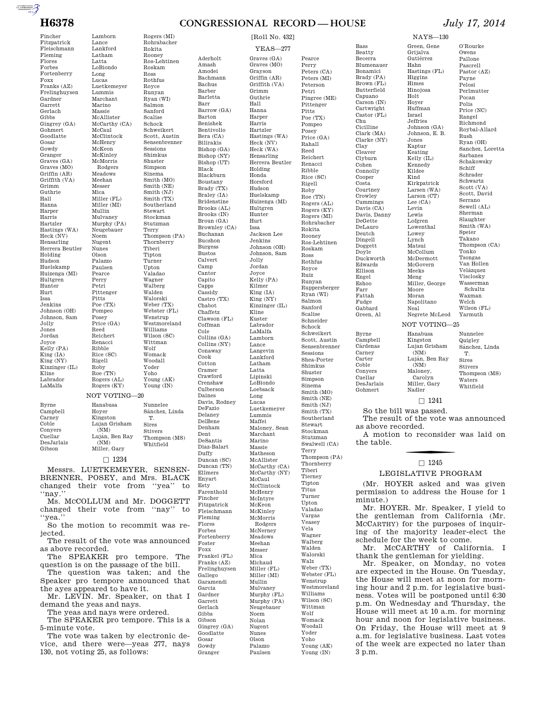$\overbrace{ \begin{array}{c} \text{minemence} \\ \text{incommutes} \\ \text{incommutes} \end{array}}$ 

Fincher Fitzpatrick Fleischmann Fleming Flores Forbes Fortenberry Foxx Franks (AZ) Frelinghuysen Gardner Garrett Gerlach Gibbs Gingrey (GA) Gohmert Goodlatte Gosar Gowdy Granger Graves (GA) Graves (MO) Griffin (AR) Griffith (VA) Grimm Guthrie Hall Hanna Harper Harris Hartzler Hastings (WA) Heck (NV) Hensarling Herrera Beutler Holding Hudson Huelskamp Huizenga (MI) Hultgren Hunter Hurt Issa Jenkins Johnson (OH) Johnson, Sam Jolly Jones Jordan Joyce Kelly (PA) King (IA) King (NY) Kinzinger (IL) Kline Labrador LaMalfa

Byrne Campbell

Lamborn Lance Lankford Latham Latta LoBiondo Long Lucas Luetkemeyer Lummis Marchant Marino Massie McAllister McCarthy (CA) McCaul McClintock McHenry McKeon McKinley McMorris Rodgers Meadows Meehan Messer Mica Miller (FL) Miller (MI) Mullin Mulvaney Murphy (PA) Neugebauer Noem Nugent Nunes Olson Palazzo Paulsen Pearce Perry Petri Pittenger Pitts Poe (TX) Pompeo Posey Price (GA) Reed Reichert Renacci Ribble Rice (SC) Rigell Roby Roe (TN) Rogers (AL) Rogers (KY) Rogers (MI) Rohrabacher Rokita Rooney Ros-Lehtinen Roskam Ross Rothfus Royce Runyan Ryan (WI) Salmon Sanford Scalise Schock Schweikert Scott, Austin Sensenbrenner Sessions Shimkus Shuster Simpson Sinema Smith (MO) Smith (NE) Smith (NJ) Smith (TX) Southerland Stewart Stockman Stutzman Terry Thompson (PA) Thornberry Tiberi Tipton Turner Upton Valadao Wagner Walberg Walden Walorski Weber (TX) Webster (FL) Wenstrup Westmoreland Williams Wilson (SC) Wittman Wolf Womack Woodall Yoder Yoho Young (AK) Young (IN) NOT VOTING—20 Hanabusa Nunnelee Sánchez, Linda

### Hoyer

Carney Coble Conyers Cuellar DesJarlais Gibson Kingston Lujan Grisham  $(NM)$ Luján, Ben Ray (NM) Miller, Gary T. Sires Stivers Thompson (MS) Whitfield

 $\square$  1234

Messrs. LUETKEMEYER, SENSEN-BRENNER, POSEY, and Mrs. BLACK changed their vote from ''yea'' to ''nay.''

Ms. MCCOLLUM and Mr. DOGGETT changed their vote from ''nay'' to ''yea.''

So the motion to recommit was rejected.

The result of the vote was announced as above recorded.

The SPEAKER pro tempore. The question is on the passage of the bill.

The question was taken; and the Speaker pro tempore announced that the ayes appeared to have it.

Mr. LEVIN. Mr. Speaker, on that I demand the yeas and nays.

The yeas and nays were ordered.

The SPEAKER pro tempore. This is a 5-minute vote.

The vote was taken by electronic device, and there were—yeas 277, nays 130, not voting 25, as follows:

Aderholt Amash Amodei Bachmann Bachus Barber Barletta Barr Barrow (GA) Barton Benishek Bentivolio Bera (CA) Bilirakis Bishop (GA) Bishop (NY) Bishop (UT) Black Blackburn Boustany Brady (TX) Braley (IA) Bridenstine Brooks (AL) Brooks (IN) Broun (GA) Brownley (CA) Buchanan Bucshon Burgess Bustos Calvert Camp Cantor Capito Capps Cassidy Castro (TX) Chabot Chaffetz Clawson (FL) Coffman Cole Collins (GA) Collins (NY) Conaway Cook Cotton Cramer Crawford Crenshaw Culberson Daines Davis, Rodney DeFazio Delaney DelBene Denham Dent DeSantis Diaz-Balart Duffy Duncan (SC) Duncan (TN) Ellmers Enyart Esty Farenthold Fincher Fitzpatrick Fleischmann Fleming Flores Forbes Fortenberry Foster Foxx Frankel (FL) Franks (AZ) Frelinghuysen Gallego Garamendi Garcia Gardner Garrett Gerlach Gibbs Gibson Gingrey (GA) Goodlatte Gosar Gowdy

Granger

YEAS—277 Graves (GA) Graves (MO) Grayson Griffin (AR) Griffith (VA) Grimm Guthrie Hall Hanna Harper Harris Hartzler Hastings (WA) Heck (NV) Heck (WA) Hensarling Herrera Beutler Holding Honda Horsford Hudson Huelskamp Huizenga (MI) Hultgren Hunter Hurt Issa Jackson Lee Jenkins Johnson (OH) Johnson, Sam Jolly Jordan Joyce Kelly (PA) Kilmer King (IA) King (NY) Kinzinger (IL) Kline Kuster Labrador LaMalfa Lamborn Lance Langevin Lankford Latham Latta Lipinski LoBiondo Loebsack Long Lucas Luetkemeyer Lummis Maffei Maloney, Sean Marchant Marino Massie Matheson McAllister McCarthy (CA) McCarthy (NY) McCaul McClintock McHenry McIntyre McKeon McKinley McMorris Rodgers McNerney Meadows Meehan Messer Mica Michaud Miller (FL) Miller (MI) Mullin Mulvaney Murphy (FL) Murphy (PA) Neugebauer Noem Nolan Nugent Nunes Olson Palazzo Paulsen

[Roll No. 432]

Pearce Perry Peters (CA) Peters (MI) Peterson Petri Pingree (ME) Pittenger Pitts Poe (TX) Pompeo Posey Price (GA) Rahall Reed Reichert Renacci Ribble Rice (SC) Rigell Roby Roe (TN) Rogers (AL) Rogers (KY) Rogers (MI) Rohrabacher Rokita Rooney Ros-Lehtinen Roskam Ross Rothfus Royce Ruiz Runyan Ruppersberger Ryan (WI) Salmon Sanford Scalise Schneider Schock Schweikert Scott, Austin Sensenbrenner Sessions Shea-Porter Shimkus Shuster Simpson Sinema Smith (MO) Smith (NE) Smith (NJ) Smith (TX) Southerland Stewart Stockman Stutzman Swalwell (CA) Terry Thompson (PA) Thornberry Tiberi Tierney Tipton Titus Turner Upton Valadao Vargas Veasey Vela Wagner Walberg Walden Walorski Walz Weber (TX) Webster (FL) Wenstrup Westmoreland Williams Wilson (SC) Wittman Wolf Womack Woodall Yoder Yoho Young (AK) Young (IN)

Bass Beatty Becerra Blumenauer Bonamici Brady (PA) Brown (FL) Butterfield Capuano Carson (IN) Cartwright Castor (FL) Chu Cicilline Clark (MA) Clarke (NY) Clay Cleaver Clyburn Cohen **Connolly** Cooper Costa Courtney Crowley Cummings Davis (CA) Davis, Danny DeGette DeLauro Deutch Dingell Doggett Doyle Duckworth Edwards Ellison Engel Eshoo Farr Fattah Fudge Gabbard Green, Al Byrne Campbell Cárdenas Carney Carter

Coble Conyers Cuellar DesJarlais Gohmert

NAYS—130

Green, Gene Grijalva Gutiérrez Hahn Hastings (FL) Higgins Himes Hinojosa Holt Hoyer Huffman Israel Jeffries Johnson (GA) Johnson, E. B. Jones Kaptur Keating Kelly (IL) Kennedy Kildee Kind Kirkpatrick Larsen (WA) Larson (CT) Lee (CA) Levin Lewis Lofgren Lowenthal Lowey Lynch Matsui McCollum McDermott McGovern Meeks Meng Miller, George Moore Moran Napolitano Neal Negrete McLeod NOT VOTING—25 Hanabusa Kingston Lujan Grisham (NM) Luján, Ben Ray (NM) Maloney,

## **H6378 CONGRESSIONAL RECORD — HOUSE** *July 17, 2014*

O'Rourke Owens Pallone Pascrell Pastor (AZ) Payne Pelosi Perlmutter Pocan Polis Price (NC) Rangel Richmond Roybal-Allard Rush Ryan (OH) Sanchez, Loretta Sarbanes Schakowsky Schiff Schrader Schwartz Scott (VA) Scott, David Serrano Sewell (AL) Sherman Slaughter Smith (WA) Speier Takano Thompson (CA) Tonko Tsongas Van Hollen Velázquez Visclosky Wasserman Schultz Waxman Welch Wilson (FL) Yarmuth

Nunnelee Quigley Sánchez, Linda T. Sires Stivers Thompson (MS) Waters Whitfield

### $\Box$  1241

So the bill was passed.

The result of the vote was announced as above recorded.

Carolyn Miller, Gary Nadler

A motion to reconsider was laid on the table.

# $\Box$  1245

#### LEGISLATIVE PROGRAM

(Mr. HOYER asked and was given permission to address the House for 1 minute.)

Mr. HOYER. Mr. Speaker, I yield to the gentleman from California (Mr. MCCARTHY) for the purposes of inquiring of the majority leader-elect the schedule for the week to come.

Mr. MCCARTHY of California. thank the gentleman for yielding.

Mr. Speaker, on Monday, no votes are expected in the House. On Tuesday, the House will meet at noon for morning hour and 2 p.m. for legislative business. Votes will be postponed until 6:30 p.m. On Wednesday and Thursday, the House will meet at 10 a.m. for morning hour and noon for legislative business. On Friday, the House will meet at 9 a.m. for legislative business. Last votes of the week are expected no later than 3 p.m.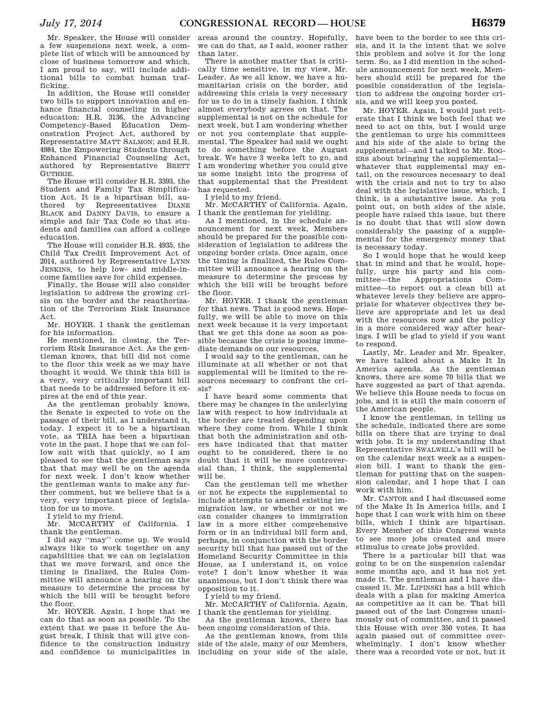Mr. Speaker, the House will consider a few suspensions next week, a complete list of which will be announced by close of business tomorrow and which, I am proud to say, will include additional bills to combat human trafficking.

In addition, the House will consider two bills to support innovation and enhance financial counseling in higher education: H.R. 3136, the Advancing Competency-Based Education Demonstration Project Act, authored by Representative MATT SALMON; and H.R. 4984, the Empowering Students through Enhanced Financial Counseling Act, authored by Representative BRETT GUTHRIE.

The House will consider H.R. 3393, the Student and Family Tax Simplification Act. It is a bipartisan bill, authored by Representatives DIANE BLACK and DANNY DAVIS, to ensure a simple and fair Tax Code so that students and families can afford a college education.

The House will consider H.R. 4935, the Child Tax Credit Improvement Act of 2014, authored by Representative LYNN JENKINS, to help low- and middle-income families save for child expenses.

Finally, the House will also consider legislation to address the growing crisis on the border and the reauthorization of the Terrorism Risk Insurance Act.

Mr. HOYER. I thank the gentleman for his information.

He mentioned, in closing, the Terrorism Risk Insurance Act. As the gentleman knows, that bill did not come to the floor this week as we may have thought it would. We think this bill is a very, very critically important bill that needs to be addressed before it expires at the end of this year.

As the gentleman probably knows, the Senate is expected to vote on the passage of their bill, as I understand it, today. I expect it to be a bipartisan vote, as TRIA has been a bipartisan vote in the past. I hope that we can follow suit with that quickly, so I am pleased to see that the gentleman says that that may well be on the agenda for next week. I don't know whether the gentleman wants to make any further comment, but we believe that is a very, very important piece of legislation for us to move.

I yield to my friend.

Mr. MCCARTHY of California. I thank the gentleman.

I did say ''may'' come up. We would always like to work together on any capabilities that we can on legislation that we move forward, and once the timing is finalized, the Rules Committee will announce a hearing on the measure to determine the process by which the bill will be brought before the floor.

Mr. HOYER. Again, I hope that we can do that as soon as possible. To the extent that we pass it before the August break, I think that will give confidence to the construction industry and confidence to municipalities in areas around the country. Hopefully, we can do that, as I said, sooner rather than later.

There is another matter that is critically time sensitive, in my view, Mr. Leader. As we all know, we have a humanitarian crisis on the border, and addressing this crisis is very necessary for us to do in a timely fashion. I think almost everybody agrees on that. The supplemental is not on the schedule for next week, but I am wondering whether or not you contemplate that supplemental. The Speaker had said we ought to do something before the August break. We have 3 weeks left to go, and I am wondering whether you could give us some insight into the progress of that supplemental that the President has requested.

I yield to my friend.

Mr. MCCARTHY of California. Again, I thank the gentleman for yielding.

As I mentioned, in the schedule announcement for next week, Members should be prepared for the possible consideration of legislation to address the ongoing border crisis. Once again, once the timing is finalized, the Rules Committee will announce a hearing on the measure to determine the process by which the bill will be brought before the floor.

Mr. HOYER. I thank the gentleman for that news. That is good news. Hopefully, we will be able to move on this next week because it is very important that we get this done as soon as possible because the crisis is posing immediate demands on our resources.

I would say to the gentleman, can he illuminate at all whether or not that supplemental will be limited to the resources necessary to confront the crisis?

I have heard some comments that there may be changes in the underlying law with respect to how individuals at the border are treated depending upon where they come from. While I think that both the administration and others have indicated that that matter ought to be considered, there is no doubt that it will be more controversial than, I think, the supplemental will be.

Can the gentleman tell me whether or not he expects the supplemental to include attempts to amend existing immigration law, or whether or not we can consider changes to immigration law in a more either comprehensive form or in an individual bill form and, perhaps, in conjunction with the border security bill that has passed out of the Homeland Security Committee in this House, as I understand it, on voice vote? I don't know whether it was unanimous, but I don't think there was opposition to it.

I yield to my friend.

Mr. MCCARTHY of California. Again, I thank the gentleman for yielding.

As the gentleman knows, there has been ongoing consideration of this.

As the gentleman knows, from this side of the aisle, many of our Members, including on your side of the aisle, have been to the border to see this crisis, and it is the intent that we solve this problem and solve it for the long term. So, as I did mention in the schedule announcement for next week, Members should still be prepared for the possible consideration of the legislation to address the ongoing border crisis, and we will keep you posted.

Mr. HOYER. Again, I would just reiterate that I think we both feel that we need to act on this, but I would urge the gentleman to urge his committees and his side of the aisle to bring the supplemental—and I talked to Mr. ROG-ERS about bringing the supplemental whatever that supplemental may entail, on the resources necessary to deal with the crisis and not to try to also deal with the legislative issue, which, I think, is a substantive issue. As you point out, on both sides of the aisle, people have raised this issue, but there is no doubt that that will slow down considerably the passing of a supplemental for the emergency money that is necessary today.

So I would hope that he would keep that in mind and that he would, hopefully, urge his party and his com-<br>mittee—the Appropriations Committee—the Appropriations mittee—to report out a clean bill at whatever levels they believe are appropriate for whatever objectives they believe are appropriate and let us deal with the resources now and the policy in a more considered way after hearings. I will be glad to yield if you want to respond.

Lastly, Mr. Leader and Mr. Speaker, we have talked about a Make It In America agenda. As the gentleman knows, there are some 70 bills that we have suggested as part of that agenda. We believe this House needs to focus on jobs, and it is still the main concern of the American people.

I know the gentleman, in telling us the schedule, indicated there are some bills on there that are trying to deal with jobs. It is my understanding that Representative SWALWELL's bill will be on the calendar next week as a suspension bill. I want to thank the gentleman for putting that on the suspension calendar, and I hope that I can work with him.

Mr. CANTOR and I had discussed some of the Make It In America bills, and I hope that I can work with him on these bills, which I think are bipartisan. Every Member of this Congress wants to see more jobs created and more stimulus to create jobs provided.

There is a particular bill that was going to be on the suspension calendar some months ago, and it has not yet made it. The gentleman and I have discussed it. Mr. LIPINSKI has a bill which deals with a plan for making America as competitive as it can be. That bill passed out of the last Congress unanimously out of committee, and it passed this House with over 350 votes. It has again passed out of committee overwhelmingly. I don't know whether there was a recorded vote or not, but it